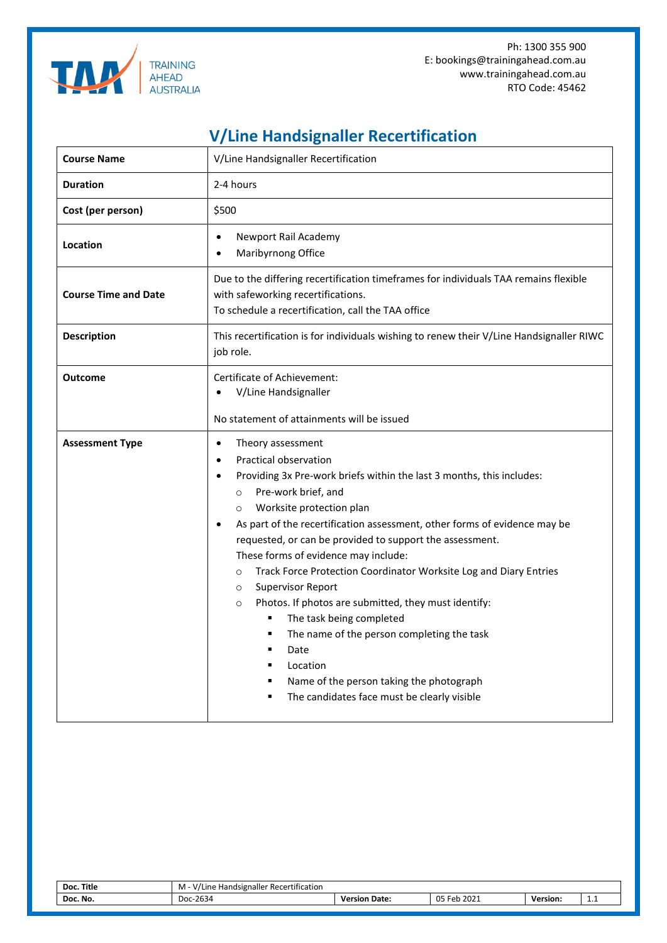

Ph: 1300 355 900 E: bookings@trainingahead.com.au www.trainingahead.com.au RTO Code: 45462

## **V/Line Handsignaller Recertification**

| <b>Course Name</b>          | V/Line Handsignaller Recertification                                                                                                                                                                                                                                                                                                                                                                                                                                                                                                                                                                                                                                                                                                                                                                          |  |  |  |  |
|-----------------------------|---------------------------------------------------------------------------------------------------------------------------------------------------------------------------------------------------------------------------------------------------------------------------------------------------------------------------------------------------------------------------------------------------------------------------------------------------------------------------------------------------------------------------------------------------------------------------------------------------------------------------------------------------------------------------------------------------------------------------------------------------------------------------------------------------------------|--|--|--|--|
| <b>Duration</b>             | 2-4 hours                                                                                                                                                                                                                                                                                                                                                                                                                                                                                                                                                                                                                                                                                                                                                                                                     |  |  |  |  |
| Cost (per person)           | \$500                                                                                                                                                                                                                                                                                                                                                                                                                                                                                                                                                                                                                                                                                                                                                                                                         |  |  |  |  |
| Location                    | Newport Rail Academy<br>Maribyrnong Office                                                                                                                                                                                                                                                                                                                                                                                                                                                                                                                                                                                                                                                                                                                                                                    |  |  |  |  |
| <b>Course Time and Date</b> | Due to the differing recertification timeframes for individuals TAA remains flexible<br>with safeworking recertifications.<br>To schedule a recertification, call the TAA office                                                                                                                                                                                                                                                                                                                                                                                                                                                                                                                                                                                                                              |  |  |  |  |
| <b>Description</b>          | This recertification is for individuals wishing to renew their V/Line Handsignaller RIWC<br>job role.                                                                                                                                                                                                                                                                                                                                                                                                                                                                                                                                                                                                                                                                                                         |  |  |  |  |
| <b>Outcome</b>              | Certificate of Achievement:<br>V/Line Handsignaller<br>No statement of attainments will be issued                                                                                                                                                                                                                                                                                                                                                                                                                                                                                                                                                                                                                                                                                                             |  |  |  |  |
| <b>Assessment Type</b>      | Theory assessment<br>$\bullet$<br><b>Practical observation</b><br>Providing 3x Pre-work briefs within the last 3 months, this includes:<br>Pre-work brief, and<br>$\circ$<br>Worksite protection plan<br>$\circ$<br>As part of the recertification assessment, other forms of evidence may be<br>requested, or can be provided to support the assessment.<br>These forms of evidence may include:<br>Track Force Protection Coordinator Worksite Log and Diary Entries<br>$\circ$<br><b>Supervisor Report</b><br>$\circ$<br>Photos. If photos are submitted, they must identify:<br>$\circ$<br>The task being completed<br>٠<br>The name of the person completing the task<br>٠<br>٠<br>Date<br>Location<br>Name of the person taking the photograph<br>٠<br>The candidates face must be clearly visible<br>п |  |  |  |  |

| Title<br>Doc. | $\cdot$ $\cdot$<br><b>Handsignaller Recertification</b><br>.<br>'/Line<br>- IVI |                  |                              |          |   |
|---------------|---------------------------------------------------------------------------------|------------------|------------------------------|----------|---|
| Doc. No.      | Doc-2634                                                                        | Date:<br>Version | $05$ Feb<br>2021<br>. .<br>ັ | Version: | . |
|               |                                                                                 |                  |                              |          |   |